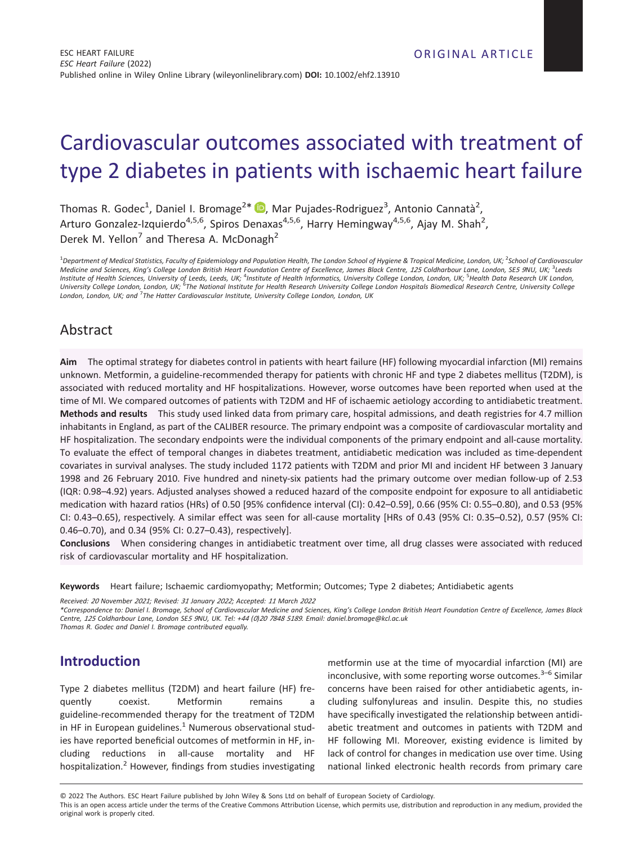# Cardiovascular outcomes associated with treatment of type 2 diabetes in patients with ischaemic heart failure

Thomas R. Godec<sup>1</sup>[,](https://orcid.org/0000-0002-4243-5964) Daniel I. Bromage<sup>2\*</sup> D, Mar Pujades-Rodriguez<sup>3</sup>, Antonio Cannatà<sup>2</sup>, Arturo Gonzalez-Izquierdo<sup>4,5,6</sup>, Spiros Denaxas<sup>4,5,6</sup>, Harry Hemingway<sup>4,5,6</sup>, Ajay M. Shah<sup>2</sup>, Derek M. Yellon<sup>7</sup> and Theresa A. McDonagh<sup>2</sup>

<sup>1</sup> Department of Medical Statistics, Faculty of Epidemiology and Population Health, The London School of Hygiene & Tropical Medicine, London, UK; <sup>2</sup>School of Cardiovascular Medicine and Sciences, King's College London British Heart Foundation Centre of Excellence, James Black Centre, 125 Coldharbour Lane, London, SE5 9NU, UK, <sup>3</sup>Leeds Institute of Health Sciences, University of Leeds, Leeds, UK; <sup>4</sup>Institute of Health Informatics, University College London, London, UK; <sup>S</sup>Health Data Research UK London, University College London, London, UK; <sup>6</sup>The National Institute for Health Research University College London Hospitals Biomedical Research Centre, University College *London, London, UK; and* <sup>7</sup> *The Hatter Cardiovascular Institute, University College London, London, UK*

# Abstract

**Aim** The optimal strategy for diabetes control in patients with heart failure (HF) following myocardial infarction (MI) remains unknown. Metformin, a guideline-recommended therapy for patients with chronic HF and type 2 diabetes mellitus (T2DM), is associated with reduced mortality and HF hospitalizations. However, worse outcomes have been reported when used at the time of MI. We compared outcomes of patients with T2DM and HF of ischaemic aetiology according to antidiabetic treatment. **Methods and results** This study used linked data from primary care, hospital admissions, and death registries for 4.7 million inhabitants in England, as part of the CALIBER resource. The primary endpoint was a composite of cardiovascular mortality and HF hospitalization. The secondary endpoints were the individual components of the primary endpoint and all-cause mortality. To evaluate the effect of temporal changes in diabetes treatment, antidiabetic medication was included as time-dependent covariates in survival analyses. The study included 1172 patients with T2DM and prior MI and incident HF between 3 January 1998 and 26 February 2010. Five hundred and ninety-six patients had the primary outcome over median follow-up of 2.53 (IQR: 0.98–4.92) years. Adjusted analyses showed a reduced hazard of the composite endpoint for exposure to all antidiabetic medication with hazard ratios (HRs) of 0.50 [95% confidence interval (CI): 0.42–0.59], 0.66 (95% CI: 0.55–0.80), and 0.53 (95% CI: 0.43–0.65), respectively. A similar effect was seen for all-cause mortality [HRs of 0.43 (95% CI: 0.35–0.52), 0.57 (95% CI: 0.46–0.70), and 0.34 (95% CI: 0.27–0.43), respectively].

**Conclusions** When considering changes in antidiabetic treatment over time, all drug classes were associated with reduced risk of cardiovascular mortality and HF hospitalization.

**Keywords** Heart failure; Ischaemic cardiomyopathy; Metformin; Outcomes; Type 2 diabetes; Antidiabetic agents

*Received: <sup>20</sup> November <sup>2021</sup>; Revised: <sup>31</sup> January <sup>2022</sup>; Accepted: <sup>11</sup> March <sup>2022</sup>*

*\*Correspondence to: Daniel I. Bromage, School of Cardiovascular Medicine and Sciences, King's College London British Heart Foundation Centre of Excellence, James Black* Centre, 125 Coldharbour Lane, London SE5 9NU, UK. Tel: +44 (0)20 7848 5189. Email: [daniel.bromage@kcl.ac.uk](mailto:daniel.bromage@kcl.ac.uk) *Thomas R. Godec and Daniel I. Bromage contributed equally.*

# **Introduction**

Type 2 diabetes mellitus (T2DM) and heart failure (HF) frequently coexist. Metformin remains a guideline-recommended therapy for the treatment of T2DM in HF in European guidelines. $<sup>1</sup>$  Numerous observational stud-</sup> ies have reported beneficial outcomes of metformin in HF, including reductions in all-cause mortality and HF hospitalization.<sup>2</sup> However, findings from studies investigating

metformin use at the time of myocardial infarction (MI) are inconclusive, with some reporting worse outcomes. $3-6$  Similar concerns have been raised for other antidiabetic agents, including sulfonylureas and insulin. Despite this, no studies have specifically investigated the relationship between antidiabetic treatment and outcomes in patients with T2DM and HF following MI. Moreover, existing evidence is limited by lack of control for changes in medication use over time. Using national linked electronic health records from primary care

© 2022 The Authors. ESC Heart Failure published by John Wiley & Sons Ltd on behalf of European Society of Cardiology.

This is an open access article under the terms of the [Creative Commons Attribution](http://creativecommons.org/licenses/by/4.0/) License, which permits use, distribution and reproduction in any medium, provided the original work is properly cited.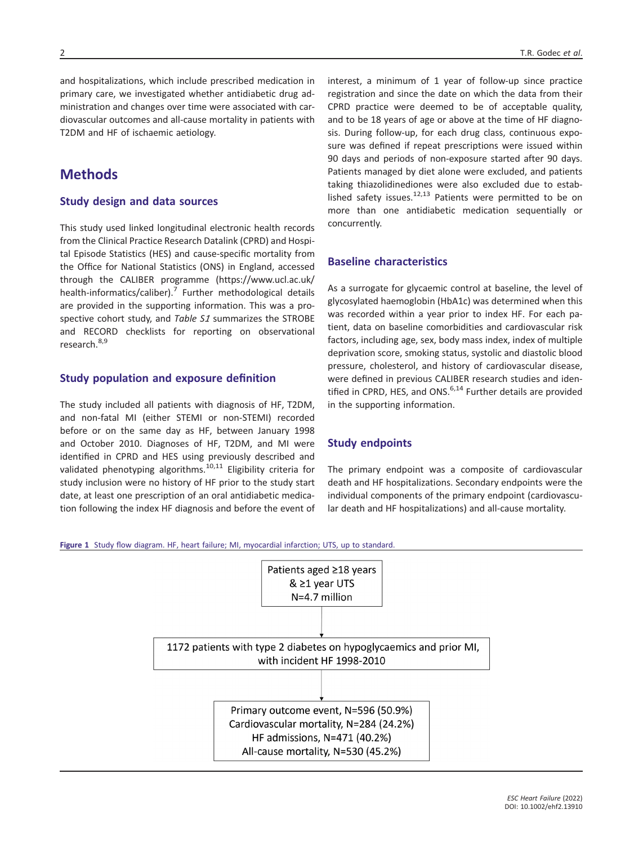and hospitalizations, which include prescribed medication in primary care, we investigated whether antidiabetic drug administration and changes over time were associated with cardiovascular outcomes and all-cause mortality in patients with T2DM and HF of ischaemic aetiology.

### **Methods**

#### **Study design and data sources**

This study used linked longitudinal electronic health records from the Clinical Practice Research Datalink (CPRD) and Hospital Episode Statistics (HES) and cause-specific mortality from the Office for National Statistics (ONS) in England, accessed through the CALIBER programme ([https://www.ucl.ac.uk/](https://www.ucl.ac.uk/health-informatics/caliber) [health-informatics/caliber](https://www.ucl.ac.uk/health-informatics/caliber)).<sup>7</sup> Further methodological details are provided in the supporting information. This was a prospective cohort study, and *Table S<sup>1</sup>* summarizes the STROBE and RECORD checklists for reporting on observational research.<sup>8,9</sup>

### **Study population and exposure definition**

The study included all patients with diagnosis of HF, T2DM, and non-fatal MI (either STEMI or non-STEMI) recorded before or on the same day as HF, between January 1998 and October 2010. Diagnoses of HF, T2DM, and MI were identified in CPRD and HES using previously described and validated phenotyping algorithms.<sup>10,11</sup> Eligibility criteria for study inclusion were no history of HF prior to the study start date, at least one prescription of an oral antidiabetic medication following the index HF diagnosis and before the event of interest, a minimum of 1 year of follow-up since practice registration and since the date on which the data from their CPRD practice were deemed to be of acceptable quality, and to be 18 years of age or above at the time of HF diagnosis. During follow-up, for each drug class, continuous exposure was defined if repeat prescriptions were issued within 90 days and periods of non-exposure started after 90 days. Patients managed by diet alone were excluded, and patients taking thiazolidinediones were also excluded due to established safety issues.<sup>12,13</sup> Patients were permitted to be on more than one antidiabetic medication sequentially or concurrently.

#### **Baseline characteristics**

As a surrogate for glycaemic control at baseline, the level of glycosylated haemoglobin (HbA1c) was determined when this was recorded within a year prior to index HF. For each patient, data on baseline comorbidities and cardiovascular risk factors, including age, sex, body mass index, index of multiple deprivation score, smoking status, systolic and diastolic blood pressure, cholesterol, and history of cardiovascular disease, were defined in previous CALIBER research studies and identified in CPRD, HES, and ONS. $6,14$  Further details are provided in the supporting information.

#### **Study endpoints**

The primary endpoint was a composite of cardiovascular death and HF hospitalizations. Secondary endpoints were the individual components of the primary endpoint (cardiovascular death and HF hospitalizations) and all-cause mortality.

**Figure 1** Study flow diagram. HF, heart failure; MI, myocardial infarction; UTS, up to standard.

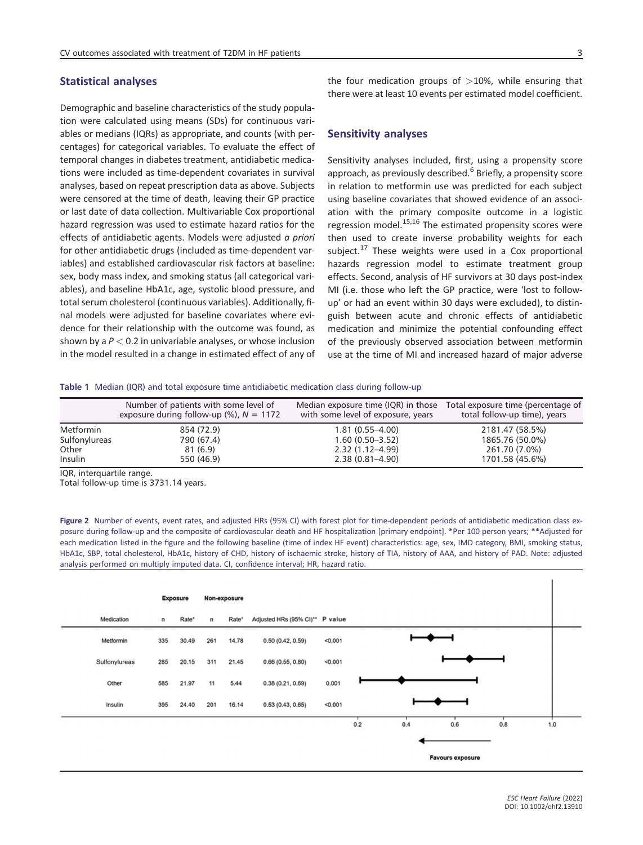#### **Statistical analyses**

Demographic and baseline characteristics of the study population were calculated using means (SDs) for continuous variables or medians (IQRs) as appropriate, and counts (with percentages) for categorical variables. To evaluate the effect of temporal changes in diabetes treatment, antidiabetic medications were included as time-dependent covariates in survival analyses, based on repeat prescription data as above. Subjects were censored at the time of death, leaving their GP practice or last date of data collection. Multivariable Cox proportional hazard regression was used to estimate hazard ratios for the effects of antidiabetic agents. Models were adjusted *a priori* for other antidiabetic drugs (included as time-dependent variables) and established cardiovascular risk factors at baseline: sex, body mass index, and smoking status (all categorical variables), and baseline HbA1c, age, systolic blood pressure, and total serum cholesterol (continuous variables). Additionally, final models were adjusted for baseline covariates where evidence for their relationship with the outcome was found, as shown by a *P <* 0.2 in univariable analyses, or whose inclusion in the model resulted in a change in estimated effect of any of the four medication groups of *>*10%, while ensuring that there were at least 10 events per estimated model coefficient.

#### **Sensitivity analyses**

Sensitivity analyses included, first, using a propensity score approach, as previously described.<sup>6</sup> Briefly, a propensity score in relation to metformin use was predicted for each subject using baseline covariates that showed evidence of an association with the primary composite outcome in a logistic regression model. $^{15,16}$  The estimated propensity scores were then used to create inverse probability weights for each subject.<sup>17</sup> These weights were used in a Cox proportional hazards regression model to estimate treatment group effects. Second, analysis of HF survivors at 30 days post-index MI (i.e. those who left the GP practice, were 'lost to followup' or had an event within 30 days were excluded), to distinguish between acute and chronic effects of antidiabetic medication and minimize the potential confounding effect of the previously observed association between metformin use at the time of MI and increased hazard of major adverse

**Table 1** Median (IQR) and total exposure time antidiabetic medication class during follow-up

|               | Number of patients with some level of<br>exposure during follow-up $\frac{1}{2}$ , $N = 1172$ | Median exposure time (IQR) in those<br>with some level of exposure, years | Total exposure time (percentage of<br>total follow-up time), years |
|---------------|-----------------------------------------------------------------------------------------------|---------------------------------------------------------------------------|--------------------------------------------------------------------|
| Metformin     | 854 (72.9)                                                                                    | $1.81(0.55 - 4.00)$                                                       | 2181.47 (58.5%)                                                    |
| Sulfonylureas | 790 (67.4)                                                                                    | $1.60(0.50-3.52)$                                                         | 1865.76 (50.0%)                                                    |
| Other         | 81 (6.9)                                                                                      | $2.32(1.12 - 4.99)$                                                       | 261.70 (7.0%)                                                      |
| Insulin       | 550 (46.9)                                                                                    | $2.38(0.81 - 4.90)$                                                       | 1701.58 (45.6%)                                                    |

IQR, interquartile range.

Total follow-up time is 3731.14 years.

**Figure 2** Number of events, event rates, and adjusted HRs (95% CI) with forest plot for time-dependent periods of antidiabetic medication class exposure during follow-up and the composite of cardiovascular death and HF hospitalization [primary endpoint]. \*Per 100 person years; \*\*Adjusted for each medication listed in the figure and the following baseline (time of index HF event) characteristics: age, sex, IMD category, BMI, smoking status, HbA1c, SBP, total cholesterol, HbA1c, history of CHD, history of ischaemic stroke, history of TIA, history of AAA, and history of PAD. Note: adjusted analysis performed on multiply imputed data. CI, confidence interval; HR, hazard ratio.

|               | <b>Exposure</b> |       | Non-exposure |       |                                 |         |     |     |                         |     |     |
|---------------|-----------------|-------|--------------|-------|---------------------------------|---------|-----|-----|-------------------------|-----|-----|
| Medication    | n               | Rate* | n            | Rate* | Adjusted HRs (95% CI)** P value |         |     |     |                         |     |     |
| Metformin     | 335             | 30.49 | 261          | 14.78 | 0.50(0.42, 0.59)                | < 0.001 |     |     |                         |     |     |
| Sulfonylureas | 285             | 20.15 | 311          | 21.45 | 0.66(0.55, 0.80)                | < 0.001 |     |     |                         |     |     |
| Other         | 585             | 21.97 | 11           | 5.44  | 0.38(0.21, 0.69)                | 0.001   |     |     |                         |     |     |
| Insulin       | 395             | 24.40 | 201          | 16.14 | 0.53(0.43, 0.65)                | < 0.001 |     |     |                         |     |     |
|               |                 |       |              |       |                                 |         | 0.2 | 0.4 | 0.6                     | 0.8 | 1.0 |
|               |                 |       |              |       |                                 |         |     |     |                         |     |     |
|               |                 |       |              |       |                                 |         |     |     | <b>Favours exposure</b> |     |     |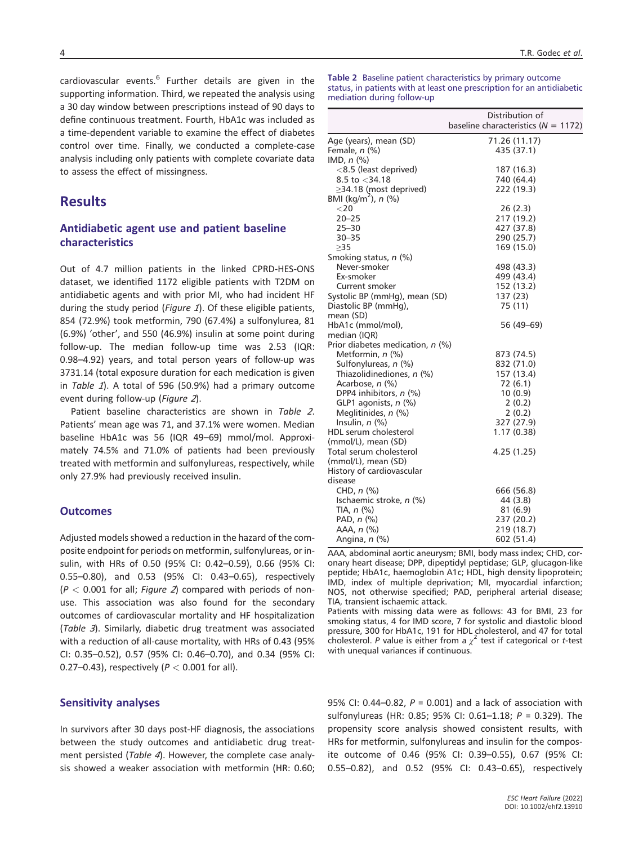cardiovascular events.<sup>6</sup> Further details are given in the supporting information. Third, we repeated the analysis using a 30 day window between prescriptions instead of 90 days to define continuous treatment. Fourth, HbA1c was included as a time-dependent variable to examine the effect of diabetes control over time. Finally, we conducted a complete-case analysis including only patients with complete covariate data to assess the effect of missingness.

### **Results**

### **Antidiabetic agent use and patient baseline characteristics**

Out of 4.7 million patients in the linked CPRD-HES-ONS dataset, we identified 1172 eligible patients with T2DM on antidiabetic agents and with prior MI, who had incident HF during the study period (*Figure <sup>1</sup>*). Of these eligible patients, 854 (72.9%) took metformin, 790 (67.4%) a sulfonylurea, 81 (6.9%) 'other', and 550 (46.9%) insulin at some point during follow-up. The median follow-up time was 2.53 (IQR: 0.98–4.92) years, and total person years of follow-up was 3731.14 (total exposure duration for each medication is given in *Table <sup>1</sup>*). A total of 596 (50.9%) had a primary outcome event during follow-up (*Figure <sup>2</sup>*).

Patient baseline characteristics are shown in *Table <sup>2</sup>*. Patients' mean age was 71, and 37.1% were women. Median baseline HbA1c was 56 (IQR 49–69) mmol/mol. Approximately 74.5% and 71.0% of patients had been previously treated with metformin and sulfonylureas, respectively, while only 27.9% had previously received insulin.

#### **Outcomes**

Adjusted models showed a reduction in the hazard of the composite endpoint for periods on metformin, sulfonylureas, or insulin, with HRs of 0.50 (95% CI: 0.42–0.59), 0.66 (95% CI: 0.55–0.80), and 0.53 (95% CI: 0.43–0.65), respectively (*P <* 0.001 for all; *Figure <sup>2</sup>*) compared with periods of nonuse. This association was also found for the secondary outcomes of cardiovascular mortality and HF hospitalization (*Table <sup>3</sup>*). Similarly, diabetic drug treatment was associated with a reduction of all-cause mortality, with HRs of 0.43 (95% CI: 0.35–0.52), 0.57 (95% CI: 0.46–0.70), and 0.34 (95% CI: 0.27–0.43), respectively (*P <* 0.001 for all).

#### **Sensitivity analyses**

In survivors after 30 days post-HF diagnosis, the associations between the study outcomes and antidiabetic drug treatment persisted (*Table <sup>4</sup>*). However, the complete case analysis showed a weaker association with metformin (HR: 0.60; **Table 2** Baseline patient characteristics by primary outcome status, in patients with at least one prescription for an antidiabetic mediation during follow-up

|                                     | Distribution of<br>baseline characteristics ( $N = 1172$ ) |
|-------------------------------------|------------------------------------------------------------|
| Age (years), mean (SD)              | 71.26 (11.17)                                              |
| Female, n (%)                       | 435 (37.1)                                                 |
| IMD, $n$ $\left(\frac{9}{6}\right)$ |                                                            |
| <8.5 (least deprived)               | 187 (16.3)                                                 |
| 8.5 to $<$ 34.18                    | 740 (64.4)                                                 |
| ≥34.18 (most deprived)              | 222 (19.3)                                                 |
| BMI (kg/m <sup>2</sup> ), n (%)     |                                                            |
| $<$ 20                              | 26(2.3)                                                    |
| $20 - 25$                           | 217 (19.2)                                                 |
| $25 - 30$                           | 427 (37.8)                                                 |
| $30 - 35$                           | 290 (25.7)                                                 |
| >35                                 | 169 (15.0)                                                 |
| Smoking status, n (%)               |                                                            |
| Never-smoker                        | 498 (43.3)                                                 |
| Ex-smoker                           | 499 (43.4)                                                 |
| Current smoker                      | 152 (13.2)                                                 |
| Systolic BP (mmHg), mean (SD)       | 137 (23)                                                   |
| Diastolic BP (mmHg),                | 75 (11)                                                    |
| mean (SD)                           |                                                            |
| HbA1c (mmol/mol),                   | 56 (49–69)                                                 |
| median (IQR)                        |                                                            |
| Prior diabetes medication, n (%)    |                                                            |
| Metformin, n (%)                    | 873 (74.5)                                                 |
| Sulfonylureas, n (%)                | 832 (71.0)                                                 |
| Thiazolidinediones, n (%)           | 157 (13.4)                                                 |
| Acarbose, n (%)                     | 72 (6.1)                                                   |
| DPP4 inhibitors, n (%)              | 10(0.9)                                                    |
| GLP1 agonists, n (%)                | 2(0.2)                                                     |
| Meglitinides, n (%)                 | 2(0.2)                                                     |
| Insulin, $n$ $(\%)$                 | 327 (27.9)                                                 |
| HDL serum cholesterol               | 1.17 (0.38)                                                |
| (mmol/L), mean (SD)                 |                                                            |
| Total serum cholesterol             | 4.25 (1.25)                                                |
| (mmol/L), mean (SD)                 |                                                            |
| History of cardiovascular           |                                                            |
| disease                             |                                                            |
| CHD, $n$ $\left(\% \right)$         | 666 (56.8)                                                 |
| Ischaemic stroke, n (%)             | 44 (3.8)                                                   |
| TIA, $n$ $\left(\% \right)$         | 81(6.9)                                                    |
| PAD, $n$ $%$                        | 237 (20.2)                                                 |
| AAA, n (%)                          | 219 (18.7)                                                 |
| Angina, n (%)                       | 602 (51.4)                                                 |

AAA, abdominal aortic aneurysm; BMI, body mass index; CHD, coronary heart disease; DPP, dipeptidyl peptidase; GLP, glucagon-like peptide; HbA1c, haemoglobin A1c; HDL, high density lipoprotein; IMD, index of multiple deprivation; MI, myocardial infarction; NOS, not otherwise specified; PAD, peripheral arterial disease; TIA, transient ischaemic attack.

Patients with missing data were as follows: 43 for BMI, 23 for smoking status, 4 for IMD score, 7 for systolic and diastolic blood pressure, 300 for HbA1c, 191 for HDL cholesterol, and 47 for total cholesterol. *P* value is either from a  $\chi^2$  test if categorical or *t*-test with unequal variances if continuous.

95% CI: 0.44–0.82, *P* = 0.001) and a lack of association with sulfonylureas (HR: 0.85; 95% CI: 0.61–1.18; *P* = 0.329). The propensity score analysis showed consistent results, with HRs for metformin, sulfonylureas and insulin for the composite outcome of 0.46 (95% CI: 0.39–0.55), 0.67 (95% CI: 0.55–0.82), and 0.52 (95% CI: 0.43–0.65), respectively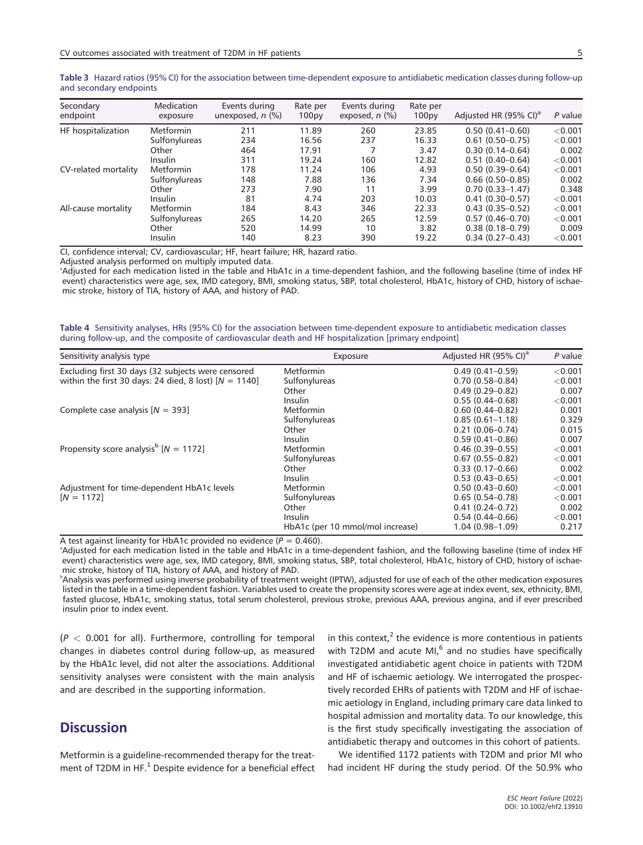| Secondary<br>endpoint | Medication<br>exposure | Events during<br>unexposed, $n$ $(\%)$ | Rate per<br>100 <sub>py</sub> | Events during<br>exposed, $n$ $(\%)$ | Rate per<br>100 <sub>py</sub> | Adjusted HR (95% CI) <sup>a</sup> | P value |
|-----------------------|------------------------|----------------------------------------|-------------------------------|--------------------------------------|-------------------------------|-----------------------------------|---------|
| HF hospitalization    | <b>Metformin</b>       | 211                                    | 11.89                         | 260                                  | 23.85                         | $0.50(0.41 - 0.60)$               | < 0.001 |
|                       | Sulfonylureas          | 234                                    | 16.56                         | 237                                  | 16.33                         | $0.61(0.50 - 0.75)$               | < 0.001 |
|                       | Other                  | 464                                    | 17.91                         |                                      | 3.47                          | $0.30(0.14 - 0.64)$               | 0.002   |
|                       | Insulin                | 311                                    | 19.24                         | 160                                  | 12.82                         | $0.51(0.40 - 0.64)$               | < 0.001 |
| CV-related mortality  | Metformin              | 178                                    | 11.24                         | 106                                  | 4.93                          | $0.50(0.39 - 0.64)$               | < 0.001 |
|                       | Sulfonylureas          | 148                                    | 7.88                          | 136                                  | 7.34                          | $0.66(0.50-0.85)$                 | 0.002   |
|                       | Other                  | 273                                    | 7.90                          | 11                                   | 3.99                          | $0.70(0.33 - 1.47)$               | 0.348   |
|                       | Insulin                | 81                                     | 4.74                          | 203                                  | 10.03                         | $0.41(0.30 - 0.57)$               | < 0.001 |
| All-cause mortality   | Metformin              | 184                                    | 8.43                          | 346                                  | 22.33                         | $0.43(0.35 - 0.52)$               | < 0.001 |
|                       | Sulfonylureas          | 265                                    | 14.20                         | 265                                  | 12.59                         | $0.57(0.46 - 0.70)$               | < 0.001 |
|                       | Other                  | 520                                    | 14.99                         | 10                                   | 3.82                          | $0.38(0.18 - 0.79)$               | 0.009   |
|                       | Insulin                | 140                                    | 8.23                          | 390                                  | 19.22                         | $0.34(0.27-0.43)$                 | < 0.001 |

**Table 3** Hazard ratios (95% CI) for the association between time-dependent exposure to antidiabetic medication classes during follow-up and secondary endpoints

CI, confidence interval; CV, cardiovascular; HF, heart failure; HR, hazard ratio.

Adjusted analysis performed on multiply imputed data.

a Adjusted for each medication listed in the table and HbA1c in a time-dependent fashion, and the following baseline (time of index HF event) characteristics were age, sex, IMD category, BMI, smoking status, SBP, total cholesterol, HbA1c, history of CHD, history of ischaemic stroke, history of TIA, history of AAA, and history of PAD.

**Table 4** Sensitivity analyses, HRs (95% CI) for the association between time-dependent exposure to antidiabetic medication classes during follow-up, and the composite of cardiovascular death and HF hospitalization [primary endpoint]

| Sensitivity analysis type                               | Exposure                         | Adjusted HR (95% CI) <sup>a</sup> | P value   |
|---------------------------------------------------------|----------------------------------|-----------------------------------|-----------|
| Excluding first 30 days (32 subjects were censored      | <b>Metformin</b>                 | $0.49(0.41 - 0.59)$               | < 0.001   |
| within the first 30 days: 24 died, 8 lost) $[N = 1140]$ | Sulfonylureas                    | $0.70(0.58 - 0.84)$               | < 0.001   |
|                                                         | Other                            | $0.49(0.29 - 0.82)$               | 0.007     |
|                                                         | Insulin                          | $0.55(0.44 - 0.68)$               | < 0.001   |
| Complete case analysis $[N = 393]$                      | <b>Metformin</b>                 | $0.60(0.44 - 0.82)$               | 0.001     |
|                                                         | Sulfonylureas                    | $0.85(0.61 - 1.18)$               | 0.329     |
|                                                         | Other                            | $0.21(0.06 - 0.74)$               | 0.015     |
|                                                         | Insulin                          | $0.59(0.41 - 0.86)$               | 0.007     |
|                                                         | Metformin                        | $0.46(0.39 - 0.55)$               | $<$ 0.001 |
| Propensity score analysis <sup>b</sup> $[N = 1172]$     | Sulfonylureas                    | $0.67(0.55 - 0.82)$               | < 0.001   |
|                                                         | Other                            | $0.33(0.17-0.66)$                 | 0.002     |
|                                                         | Insulin                          | $0.53(0.43 - 0.65)$               | < 0.001   |
| Adjustment for time-dependent HbA1c levels              | Metformin                        | $0.50(0.43 - 0.60)$               | < 0.001   |
| $[N = 1172]$                                            | Sulfonylureas                    | $0.65(0.54 - 0.78)$               | < 0.001   |
|                                                         | Other                            | $0.41(0.24 - 0.72)$               | 0.002     |
|                                                         | Insulin                          | $0.54(0.44 - 0.66)$               | < 0.001   |
|                                                         | HbA1c (per 10 mmol/mol increase) | $1.04(0.98 - 1.09)$               | 0.217     |

A test against linearity for HbA1c provided no evidence  $(P = 0.460)$ .

Adjusted for each medication listed in the table and HbA1c in a time-dependent fashion, and the following baseline (time of index HF event) characteristics were age, sex, IMD category, BMI, smoking status, SBP, total cholesterol, HbA1c, history of CHD, history of ischaemic stroke, history of TIA, history of AAA, and history of PAD.

b Analysis was performed using inverse probability of treatment weight (IPTW), adjusted for use of each of the other medication exposures listed in the table in a time-dependent fashion. Variables used to create the propensity scores were age at index event, sex, ethnicity, BMI, fasted glucose, HbA1c, smoking status, total serum cholesterol, previous stroke, previous AAA, previous angina, and if ever prescribed insulin prior to index event.

(*P <* 0.001 for all). Furthermore, controlling for temporal changes in diabetes control during follow-up, as measured by the HbA1c level, did not alter the associations. Additional sensitivity analyses were consistent with the main analysis and are described in the supporting information.

# **Discussion**

Metformin is a guideline-recommended therapy for the treatment of T2DM in HF. $<sup>1</sup>$  Despite evidence for a beneficial effect</sup> in this context, $2$  the evidence is more contentious in patients with T2DM and acute  $MI<sub>0</sub><sup>6</sup>$  and no studies have specifically investigated antidiabetic agent choice in patients with T2DM and HF of ischaemic aetiology. We interrogated the prospectively recorded EHRs of patients with T2DM and HF of ischaemic aetiology in England, including primary care data linked to hospital admission and mortality data. To our knowledge, this is the first study specifically investigating the association of antidiabetic therapy and outcomes in this cohort of patients.

We identified 1172 patients with T2DM and prior MI who had incident HF during the study period. Of the 50.9% who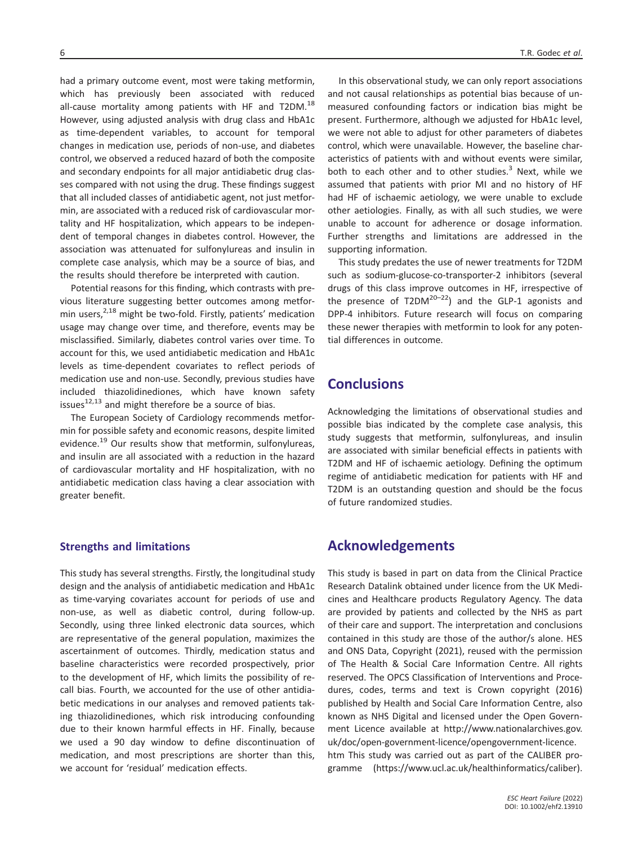had a primary outcome event, most were taking metformin, which has previously been associated with reduced all-cause mortality among patients with HF and T2DM.<sup>18</sup> However, using adjusted analysis with drug class and HbA1c as time-dependent variables, to account for temporal changes in medication use, periods of non-use, and diabetes control, we observed a reduced hazard of both the composite and secondary endpoints for all major antidiabetic drug classes compared with not using the drug. These findings suggest that all included classes of antidiabetic agent, not just metformin, are associated with a reduced risk of cardiovascular mortality and HF hospitalization, which appears to be independent of temporal changes in diabetes control. However, the association was attenuated for sulfonylureas and insulin in complete case analysis, which may be a source of bias, and the results should therefore be interpreted with caution.

Potential reasons for this finding, which contrasts with previous literature suggesting better outcomes among metformin users, $2,18$  might be two-fold. Firstly, patients' medication usage may change over time, and therefore, events may be misclassified. Similarly, diabetes control varies over time. To account for this, we used antidiabetic medication and HbA1c levels as time-dependent covariates to reflect periods of medication use and non-use. Secondly, previous studies have included thiazolidinediones, which have known safety issues $^{12,13}$  and might therefore be a source of bias.

The European Society of Cardiology recommends metformin for possible safety and economic reasons, despite limited evidence.<sup>19</sup> Our results show that metformin, sulfonylureas, and insulin are all associated with a reduction in the hazard of cardiovascular mortality and HF hospitalization, with no antidiabetic medication class having a clear association with greater benefit.

### **Strengths and limitations**

This study has several strengths. Firstly, the longitudinal study design and the analysis of antidiabetic medication and HbA1c as time-varying covariates account for periods of use and non-use, as well as diabetic control, during follow-up. Secondly, using three linked electronic data sources, which are representative of the general population, maximizes the ascertainment of outcomes. Thirdly, medication status and baseline characteristics were recorded prospectively, prior to the development of HF, which limits the possibility of recall bias. Fourth, we accounted for the use of other antidiabetic medications in our analyses and removed patients taking thiazolidinediones, which risk introducing confounding due to their known harmful effects in HF. Finally, because we used a 90 day window to define discontinuation of medication, and most prescriptions are shorter than this, we account for 'residual' medication effects.

In this observational study, we can only report associations and not causal relationships as potential bias because of unmeasured confounding factors or indication bias might be present. Furthermore, although we adjusted for HbA1c level, we were not able to adjust for other parameters of diabetes control, which were unavailable. However, the baseline characteristics of patients with and without events were similar, both to each other and to other studies. $3$  Next, while we assumed that patients with prior MI and no history of HF had HF of ischaemic aetiology, we were unable to exclude other aetiologies. Finally, as with all such studies, we were unable to account for adherence or dosage information. Further strengths and limitations are addressed in the supporting information.

This study predates the use of newer treatments for T2DM such as sodium-glucose-co-transporter-2 inhibitors (several drugs of this class improve outcomes in HF, irrespective of the presence of  $T2DM^{20-22}$  and the GLP-1 agonists and DPP-4 inhibitors. Future research will focus on comparing these newer therapies with metformin to look for any potential differences in outcome.

### **Conclusions**

Acknowledging the limitations of observational studies and possible bias indicated by the complete case analysis, this study suggests that metformin, sulfonylureas, and insulin are associated with similar beneficial effects in patients with T2DM and HF of ischaemic aetiology. Defining the optimum regime of antidiabetic medication for patients with HF and T2DM is an outstanding question and should be the focus of future randomized studies.

### **Acknowledgements**

This study is based in part on data from the Clinical Practice Research Datalink obtained under licence from the UK Medicines and Healthcare products Regulatory Agency. The data are provided by patients and collected by the NHS as part of their care and support. The interpretation and conclusions contained in this study are those of the author/s alone. HES and ONS Data, Copyright (2021), reused with the permission of The Health & Social Care Information Centre. All rights reserved. The OPCS Classification of Interventions and Procedures, codes, terms and text is Crown copyright (2016) published by Health and Social Care Information Centre, also known as NHS Digital and licensed under the Open Government Licence available at [http://www.nationalarchives.gov.](http://www.nationalarchives.gov.uk/doc/open-government-licence/opengovernment-licence.htm) [uk/doc/open-government-licence/opengovernment-licence.](http://www.nationalarchives.gov.uk/doc/open-government-licence/opengovernment-licence.htm) [htm](http://www.nationalarchives.gov.uk/doc/open-government-licence/opengovernment-licence.htm) This study was carried out as part of the CALIBER programme (<https://www.ucl.ac.uk/healthinformatics/caliber>).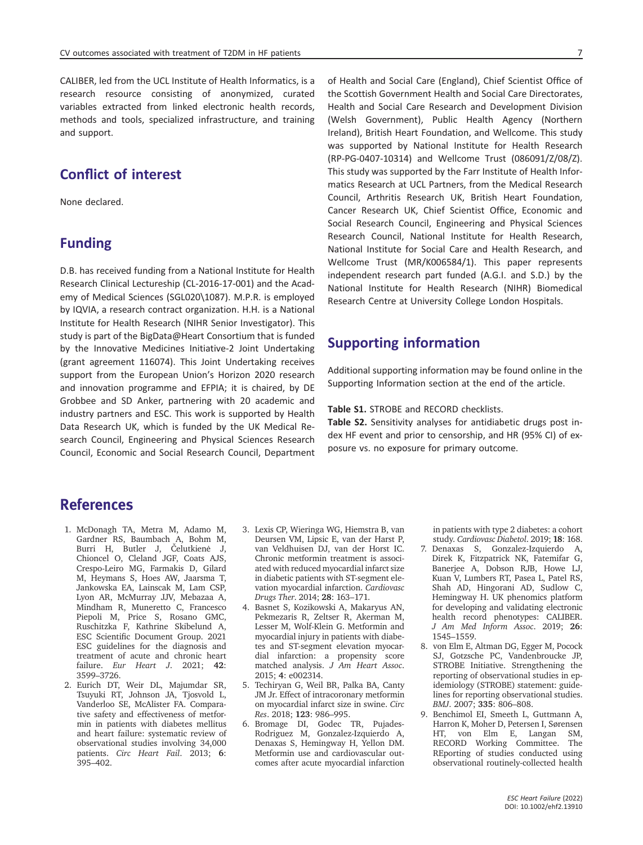CALIBER, led from the UCL Institute of Health Informatics, is a research resource consisting of anonymized, curated variables extracted from linked electronic health records, methods and tools, specialized infrastructure, and training and support.

# **Conflict of interest**

None declared.

# **Funding**

D.B. has received funding from a National Institute for Health Research Clinical Lectureship (CL-2016-17-001) and the Academy of Medical Sciences (SGL020\1087). M.P.R. is employed by IQVIA, a research contract organization. H.H. is a National Institute for Health Research (NIHR Senior Investigator). This study is part of the BigData@Heart Consortium that is funded by the Innovative Medicines Initiative-2 Joint Undertaking (grant agreement 116074). This Joint Undertaking receives support from the European Union's Horizon 2020 research and innovation programme and EFPIA; it is chaired, by DE Grobbee and SD Anker, partnering with 20 academic and industry partners and ESC. This work is supported by Health Data Research UK, which is funded by the UK Medical Research Council, Engineering and Physical Sciences Research Council, Economic and Social Research Council, Department of Health and Social Care (England), Chief Scientist Office of the Scottish Government Health and Social Care Directorates, Health and Social Care Research and Development Division (Welsh Government), Public Health Agency (Northern Ireland), British Heart Foundation, and Wellcome. This study was supported by National Institute for Health Research (RP-PG-0407-10314) and Wellcome Trust (086091/Z/08/Z). This study was supported by the Farr Institute of Health Informatics Research at UCL Partners, from the Medical Research Council, Arthritis Research UK, British Heart Foundation, Cancer Research UK, Chief Scientist Office, Economic and Social Research Council, Engineering and Physical Sciences Research Council, National Institute for Health Research, National Institute for Social Care and Health Research, and Wellcome Trust (MR/K006584/1). This paper represents independent research part funded (A.G.I. and S.D.) by the National Institute for Health Research (NIHR) Biomedical Research Centre at University College London Hospitals.

## **Supporting information**

Additional supporting information may be found online in the Supporting Information section at the end of the article.

#### **Table S1.** STROBE and RECORD checklists.

**Table S2.** Sensitivity analyses for antidiabetic drugs post index HF event and prior to censorship, and HR (95% CI) of exposure vs. no exposure for primary outcome.

# References

- 1. McDonagh TA, Metra M, Adamo M, Gardner RS, Baumbach A, Bohm M, Burri H, Butler J, Čelutkienė J, Chioncel O, Cleland JGF, Coats AJS, Crespo-Leiro MG, Farmakis D, Gilard M, Heymans S, Hoes AW, Jaarsma T, Jankowska EA, Lainscak M, Lam CSP, Lyon AR, McMurray JJV, Mebazaa A, Mindham R, Muneretto C, Francesco Piepoli M, Price S, Rosano GMC, Ruschitzka F, Kathrine Skibelund A, ESC Scientific Document Group. 2021 ESC guidelines for the diagnosis and treatment of acute and chronic heart failure. *Eur Heart J*. 2021; **42**: 3599–3726.
- 2. Eurich DT, Weir DL, Majumdar SR, Tsuyuki RT, Johnson JA, Tjosvold L, Vanderloo SE, McAlister FA. Comparative safety and effectiveness of metformin in patients with diabetes mellitus and heart failure: systematic review of observational studies involving 34,000 patients. *Circ Heart Fail*. 2013; **6**: 395–402.
- 3. Lexis CP, Wieringa WG, Hiemstra B, van Deursen VM, Lipsic E, van der Harst P, van Veldhuisen DJ, van der Horst IC. Chronic metformin treatment is associated with reduced myocardial infarct size in diabetic patients with ST-segment elevation myocardial infarction. *Cardiovasc Drugs Ther*. 2014; **28**: 163–171.
- 4. Basnet S, Kozikowski A, Makaryus AN, Pekmezaris R, Zeltser R, Akerman M, Lesser M, Wolf-Klein G. Metformin and myocardial injury in patients with diabetes and ST-segment elevation myocardial infarction: a propensity score matched analysis. *J Am Heart Assoc*. 2015; **4**: e002314.
- 5. Techiryan G, Weil BR, Palka BA, Canty JM Jr. Effect of intracoronary metformin on myocardial infarct size in swine. *Circ Res*. 2018; **123**: 986–995.
- 6. Bromage DI, Godec TR, Pujades-Rodriguez M, Gonzalez-Izquierdo A, Denaxas S, Hemingway H, Yellon DM. Metformin use and cardiovascular outcomes after acute myocardial infarction

in patients with type 2 diabetes: a cohort study. *Cardiovasc Diabetol*. 2019; **18**: 168.

- 7. Denaxas S, Gonzalez-Izquierdo A, Direk K, Fitzpatrick NK, Fatemifar G, Banerjee A, Dobson RJB, Howe LJ, Kuan V, Lumbers RT, Pasea L, Patel RS, Shah AD, Hingorani AD, Sudlow C, Hemingway H. UK phenomics platform for developing and validating electronic health record phenotypes: CALIBER. *J Am Med Inform Assoc*. 2019; **26**: 1545–1559.
- 8. von Elm E, Altman DG, Egger M, Pocock SJ, Gotzsche PC, Vandenbroucke JP, STROBE Initiative. Strengthening the reporting of observational studies in epidemiology (STROBE) statement: guidelines for reporting observational studies. *BMJ*. 2007; **335**: 806–808.
- 9. Benchimol EI, Smeeth L, Guttmann A, Harron K, Moher D, Petersen I, Sørensen HT, von Elm E, Langan SM, RECORD Working Committee. The REporting of studies conducted using observational routinely-collected health